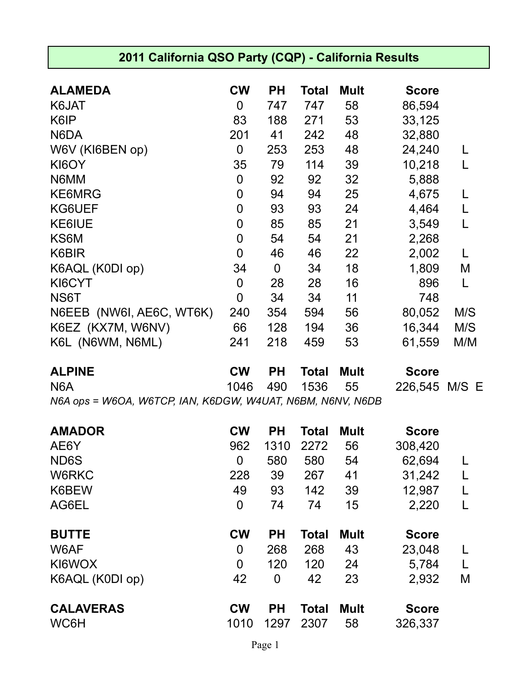| 2011 California QSO Party (CQP) - California Results       |                  |             |              |             |               |     |  |  |
|------------------------------------------------------------|------------------|-------------|--------------|-------------|---------------|-----|--|--|
| <b>ALAMEDA</b>                                             | <b>CW</b>        | <b>PH</b>   | <b>Total</b> | <b>Mult</b> | <b>Score</b>  |     |  |  |
| K6JAT                                                      | $\overline{0}$   | 747         | 747          | 58          | 86,594        |     |  |  |
| K6IP                                                       | 83               | 188         | 271          | 53          | 33,125        |     |  |  |
| N6DA                                                       | 201              | 41          | 242          | 48          | 32,880        |     |  |  |
| W6V (KI6BEN op)                                            | $\mathbf 0$      | 253         | 253          | 48          | 24,240        | L   |  |  |
| KI6OY                                                      | 35               | 79          | 114          | 39          | 10,218        | L   |  |  |
| N6MM                                                       | $\mathbf 0$      | 92          | 92           | 32          | 5,888         |     |  |  |
| <b>KE6MRG</b>                                              | $\mathbf 0$      | 94          | 94           | 25          | 4,675         | L   |  |  |
| KG6UEF                                                     | $\boldsymbol{0}$ | 93          | 93           | 24          | 4,464         | L   |  |  |
| KE6IUE                                                     | $\mathbf 0$      | 85          | 85           | 21          | 3,549         | L   |  |  |
| KS6M                                                       | $\mathbf 0$      | 54          | 54           | 21          | 2,268         |     |  |  |
| K6BIR                                                      | $\overline{0}$   | 46          | 46           | 22          | 2,002         | L   |  |  |
| K6AQL (K0DI op)                                            | 34               | $\mathbf 0$ | 34           | 18          | 1,809         | M   |  |  |
| KI6CYT                                                     | $\mathbf 0$      | 28          | 28           | 16          | 896           | L   |  |  |
| NS6T                                                       | $\overline{0}$   | 34          | 34           | 11          | 748           |     |  |  |
| N6EEB (NW6I, AE6C, WT6K)                                   | 240              | 354         | 594          | 56          | 80,052        | M/S |  |  |
| K6EZ (KX7M, W6NV)                                          | 66               | 128         | 194          | 36          | 16,344        | M/S |  |  |
| K6L (N6WM, N6ML)                                           | 241              | 218         | 459          | 53          | 61,559        | M/M |  |  |
| <b>ALPINE</b>                                              | <b>CW</b>        | <b>PH</b>   | <b>Total</b> | <b>Mult</b> | <b>Score</b>  |     |  |  |
| N <sub>6</sub> A                                           | 1046             | 490         | 1536         | 55          | 226,545 M/S E |     |  |  |
| N6A ops = W6OA, W6TCP, IAN, K6DGW, W4UAT, N6BM, N6NV, N6DB |                  |             |              |             |               |     |  |  |
| <b>AMADOR</b>                                              | <b>CW</b>        | PH          | Total        | <b>Mult</b> | <b>Score</b>  |     |  |  |
| AE6Y                                                       | 962              | 1310        | 2272         | 56          | 308,420       |     |  |  |
| ND6S                                                       | 0                | 580         | 580          | 54          | 62,694        | L   |  |  |
| W6RKC                                                      | 228              | 39          | 267          | 41          | 31,242        | L   |  |  |
| K6BEW                                                      | 49               | 93          | 142          | 39          | 12,987        | L   |  |  |
| AG6EL                                                      | $\overline{0}$   | 74          | 74           | 15          | 2,220         | L   |  |  |
| <b>BUTTE</b>                                               | <b>CW</b>        | PH          | <b>Total</b> | <b>Mult</b> | <b>Score</b>  |     |  |  |
| W6AF                                                       | $\mathbf 0$      | 268         | 268          | 43          | 23,048        | L   |  |  |
| KI6WOX                                                     | $\boldsymbol{0}$ | 120         | 120          | 24          | 5,784         | L   |  |  |
| K6AQL (K0DI op)                                            | 42               | $\mathbf 0$ | 42           | 23          | 2,932         | M   |  |  |
| <b>CALAVERAS</b>                                           | <b>CW</b>        | <b>PH</b>   | <b>Total</b> | <b>Mult</b> | <b>Score</b>  |     |  |  |
| WC6H                                                       | 1010             | 1297        | 2307         | 58          | 326,337       |     |  |  |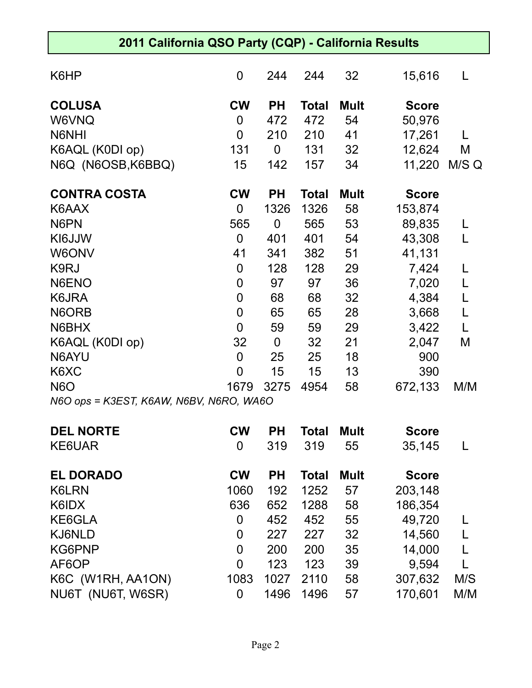| 2011 California QSO Party (CQP) - California Results |                  |             |              |             |              |       |  |  |
|------------------------------------------------------|------------------|-------------|--------------|-------------|--------------|-------|--|--|
| K6HP                                                 | $\overline{0}$   | 244         | 244          | 32          | 15,616       | L     |  |  |
| <b>COLUSA</b>                                        | <b>CW</b>        | <b>PH</b>   | <b>Total</b> | <b>Mult</b> | <b>Score</b> |       |  |  |
| W6VNQ                                                | $\mathbf 0$      | 472         | 472          | 54          | 50,976       |       |  |  |
| N6NHI                                                | $\overline{0}$   | 210         | 210          | 41          | 17,261       | L     |  |  |
| K6AQL (K0DI op)                                      | 131              | $\mathbf 0$ | 131          | 32          | 12,624       | M     |  |  |
| N6Q (N6OSB, K6BBQ)                                   | 15               | 142         | 157          | 34          | 11,220       | M/S Q |  |  |
| <b>CONTRA COSTA</b>                                  | <b>CW</b>        | <b>PH</b>   | <b>Total</b> | <b>Mult</b> | <b>Score</b> |       |  |  |
| K6AAX                                                | $\mathbf 0$      | 1326        | 1326         | 58          | 153,874      |       |  |  |
| N6PN                                                 | 565              | 0           | 565          | 53          | 89,835       | L     |  |  |
| KI6JJW                                               | $\overline{0}$   | 401         | 401          | 54          | 43,308       | L     |  |  |
| W6ONV                                                | 41               | 341         | 382          | 51          | 41,131       |       |  |  |
| K9RJ                                                 | $\mathbf 0$      | 128         | 128          | 29          | 7,424        | L     |  |  |
| N6ENO                                                | $\boldsymbol{0}$ | 97          | 97           | 36          | 7,020        | L     |  |  |
| K6JRA                                                | $\mathbf 0$      | 68          | 68           | 32          | 4,384        | L     |  |  |
| N6ORB                                                | $\mathbf 0$      | 65          | 65           | 28          | 3,668        | L     |  |  |
| N6BHX                                                | $\overline{0}$   | 59          | 59           | 29          | 3,422        | L     |  |  |
| K6AQL (K0DI op)                                      | 32               | $\mathbf 0$ | 32           | 21          | 2,047        | M     |  |  |
| N6AYU                                                | $\mathbf 0$      | 25          | 25           | 18          | 900          |       |  |  |
| K6XC                                                 | $\overline{0}$   | 15          | 15           | 13          | 390          |       |  |  |
| <b>N6O</b>                                           | 1679             | 3275        | 4954         | 58          | 672,133      | M/M   |  |  |
| N6O ops = K3EST, K6AW, N6BV, N6RO, WA6O              |                  |             |              |             |              |       |  |  |
| <b>DEL NORTE</b>                                     | <b>CW</b>        | <b>PH</b>   | <b>Total</b> | <b>Mult</b> | <b>Score</b> |       |  |  |
| KE6UAR                                               | $\overline{0}$   | 319         | 319          | 55          | 35,145       | L     |  |  |
| <b>EL DORADO</b>                                     | <b>CW</b>        | <b>PH</b>   | <b>Total</b> | <b>Mult</b> | <b>Score</b> |       |  |  |
| K6LRN                                                | 1060             | 192         | 1252         | 57          | 203,148      |       |  |  |
| K6IDX                                                | 636              | 652         | 1288         | 58          | 186,354      |       |  |  |
| KE6GLA                                               | $\overline{0}$   | 452         | 452          | 55          | 49,720       |       |  |  |
| KJ6NLD                                               | $\boldsymbol{0}$ | 227         | 227          | 32          | 14,560       | L     |  |  |
| KG6PNP                                               | $\mathbf 0$      | 200         | 200          | 35          | 14,000       | L     |  |  |
| AF6OP                                                | $\overline{0}$   | 123         | 123          | 39          | 9,594        | L     |  |  |
| K6C (W1RH, AA1ON)                                    | 1083             | 1027        | 2110         | 58          | 307,632      | M/S   |  |  |
| NU6T (NU6T, W6SR)                                    | 0                | 1496        | 1496         | 57          | 170,601      | M/M   |  |  |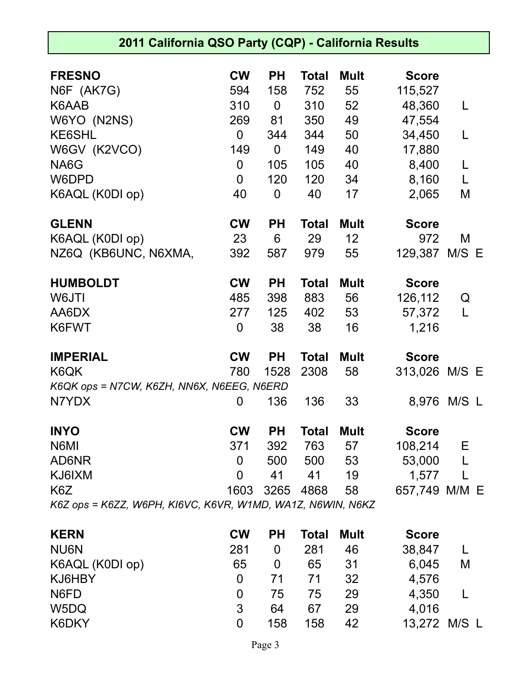| 2011 California QSO Party (CQP) - California Results       |                  |                |              |             |               |       |  |  |  |
|------------------------------------------------------------|------------------|----------------|--------------|-------------|---------------|-------|--|--|--|
| <b>FRESNO</b>                                              | <b>CW</b>        | <b>PH</b>      | <b>Total</b> | <b>Mult</b> | <b>Score</b>  |       |  |  |  |
| N6F (AK7G)                                                 | 594              | 158            | 752          | 55          | 115,527       |       |  |  |  |
| K6AAB                                                      | 310              | $\overline{0}$ | 310          | 52          | 48,360        | L     |  |  |  |
| W6YO (N2NS)                                                | 269              | 81             | 350          | 49          | 47,554        |       |  |  |  |
| KE6SHL                                                     | $\overline{0}$   | 344            | 344          | 50          | 34,450        | L     |  |  |  |
| W6GV (K2VCO)                                               | 149              | $\overline{0}$ | 149          | 40          | 17,880        |       |  |  |  |
| NA6G                                                       | $\mathbf 0$      | 105            | 105          | 40          | 8,400         | L     |  |  |  |
| W6DPD                                                      | $\mathbf 0$      | 120            | 120          | 34          | 8,160         | L     |  |  |  |
| K6AQL (K0DI op)                                            | 40               | $\overline{0}$ | 40           | 17          | 2,065         | M     |  |  |  |
| <b>GLENN</b>                                               | <b>CW</b>        | <b>PH</b>      | <b>Total</b> | <b>Mult</b> | <b>Score</b>  |       |  |  |  |
| K6AQL (K0DI op)                                            | 23               | 6              | 29           | 12          | 972           | M     |  |  |  |
| NZ6Q (KB6UNC, N6XMA,                                       | 392              | 587            | 979          | 55          | 129,387 M/S E |       |  |  |  |
| <b>HUMBOLDT</b>                                            | <b>CW</b>        | <b>PH</b>      | <b>Total</b> | <b>Mult</b> | <b>Score</b>  |       |  |  |  |
| W6JTI                                                      | 485              | 398            | 883          | 56          | 126,112       | Q     |  |  |  |
| AA6DX                                                      | 277              | 125            | 402          | 53          | 57,372        | L     |  |  |  |
| K6FWT                                                      | $\overline{0}$   | 38             | 38           | 16          | 1,216         |       |  |  |  |
| <b>IMPERIAL</b>                                            | <b>CW</b>        | <b>PH</b>      | <b>Total</b> | <b>Mult</b> | <b>Score</b>  |       |  |  |  |
| K6QK                                                       | 780              | 1528           | 2308         | 58          | 313,026 M/S E |       |  |  |  |
| K6QK ops = N7CW, K6ZH, NN6X, N6EEG, N6ERD                  |                  |                |              |             |               |       |  |  |  |
| N7YDX                                                      | $\overline{0}$   | 136            | 136          | 33          | 8,976         | M/S L |  |  |  |
| <b>INYO</b>                                                | <b>CW</b>        | <b>PH</b>      | <b>Total</b> | <b>Mult</b> | <b>Score</b>  |       |  |  |  |
| N6MI                                                       | 371              | 392            | 763          | 57          | 108,214       | Ε     |  |  |  |
| AD6NR                                                      | $\mathbf 0$      | 500            | 500          | 53          | 53,000        | L     |  |  |  |
| KJ6IXM                                                     | $\overline{0}$   | 41             | 41           | 19          | 1,577         |       |  |  |  |
| K6Z                                                        | 1603             | 3265           | 4868         | 58          | 657,749 M/M E |       |  |  |  |
| K6Z ops = K6ZZ, W6PH, KI6VC, K6VR, W1MD, WA1Z, N6WIN, N6KZ |                  |                |              |             |               |       |  |  |  |
| <b>KERN</b>                                                | <b>CW</b>        | <b>PH</b>      | <b>Total</b> | <b>Mult</b> | <b>Score</b>  |       |  |  |  |
| <b>NU6N</b>                                                | 281              | $\overline{0}$ | 281          | 46          | 38,847        | L     |  |  |  |
| K6AQL (K0DI op)                                            | 65               | 0              | 65           | 31          | 6,045         | M     |  |  |  |
| KJ6HBY                                                     | $\mathbf 0$      | 71             | 71           | 32          | 4,576         |       |  |  |  |
| N6FD                                                       | $\boldsymbol{0}$ | 75             | 75           | 29          | 4,350         | L     |  |  |  |
| W5DQ                                                       | 3                | 64             | 67           | 29          | 4,016         |       |  |  |  |
| K6DKY                                                      | $\overline{0}$   | 158            | 158          | 42          | 13,272        | M/S L |  |  |  |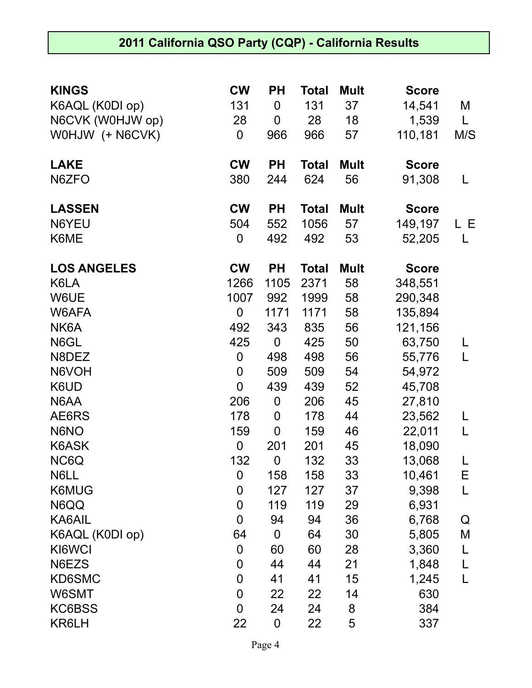| <b>KINGS</b>       | <b>CW</b>      | <b>PH</b>        | Total        | <b>Mult</b> | <b>Score</b> |     |
|--------------------|----------------|------------------|--------------|-------------|--------------|-----|
| K6AQL (K0DI op)    | 131            | 0                | 131          | 37          | 14,541       | M   |
| N6CVK (W0HJW op)   | 28             | 0                | 28           | 18          | 1,539        | L   |
| WOHJW (+ N6CVK)    | $\mathbf 0$    | 966              | 966          | 57          | 110,181      | M/S |
| <b>LAKE</b>        | <b>CW</b>      | <b>PH</b>        | <b>Total</b> | <b>Mult</b> | <b>Score</b> |     |
| N6ZFO              | 380            | 244              | 624          | 56          | 91,308       | L   |
| <b>LASSEN</b>      | <b>CW</b>      | <b>PH</b>        | <b>Total</b> | <b>Mult</b> | <b>Score</b> |     |
| N6YEU              | 504            | 552              | 1056         | 57          | 149,197      | L E |
| K6ME               | $\mathbf 0$    | 492              | 492          | 53          | 52,205       | L   |
| <b>LOS ANGELES</b> | <b>CW</b>      | <b>PH</b>        | <b>Total</b> | <b>Mult</b> | <b>Score</b> |     |
| K6LA               | 1266           | 1105             | 2371         | 58          | 348,551      |     |
| W6UE               | 1007           | 992              | 1999         | 58          | 290,348      |     |
| W6AFA              | $\mathbf 0$    | 1171             | 1171         | 58          | 135,894      |     |
| NK6A               | 492            | 343              | 835          | 56          | 121,156      |     |
| N6GL               | 425            | $\mathbf 0$      | 425          | 50          | 63,750       | L   |
| N8DEZ              | $\mathbf 0$    | 498              | 498          | 56          | 55,776       | L   |
| N6VOH              | $\mathbf 0$    | 509              | 509          | 54          | 54,972       |     |
| K6UD               | $\mathbf 0$    | 439              | 439          | 52          | 45,708       |     |
| N6AA               | 206            | $\boldsymbol{0}$ | 206          | 45          | 27,810       |     |
| AE6RS              | 178            | 0                | 178          | 44          | 23,562       | L   |
| N6NO               | 159            | $\mathbf 0$      | 159          | 46          | 22,011       | L   |
| K6ASK              | $\mathbf 0$    | 201              | 201          | 45          | 18,090       |     |
| NC6Q               | 132            | $\mathbf 0$      | 132          | 33          | 13,068       | L   |
| N6LL               | 0              | 158              | 158          | 33          | 10,461       | Ε   |
| K6MUG              | $\mathbf 0$    | 127              | 127          | 37          | 9,398        | L   |
| N6QQ               | 0              | 119              | 119          | 29          | 6,931        |     |
| KA6AIL             | 0              | 94               | 94           | 36          | 6,768        | Q   |
| K6AQL (K0DI op)    | 64             | $\mathbf 0$      | 64           | 30          | 5,805        | M   |
| KI6WCI             | 0              | 60               | 60           | 28          | 3,360        | L   |
| N6EZS              | 0              | 44               | 44           | 21          | 1,848        | L   |
| KD6SMC             | 0              | 41               | 41           | 15          | 1,245        | L   |
| W6SMT              | 0              | 22               | 22           | 14          | 630          |     |
| KC6BSS             | $\overline{0}$ | 24               | 24           | 8           | 384          |     |
| KR6LH              | 22             | $\pmb{0}$        | 22           | 5           | 337          |     |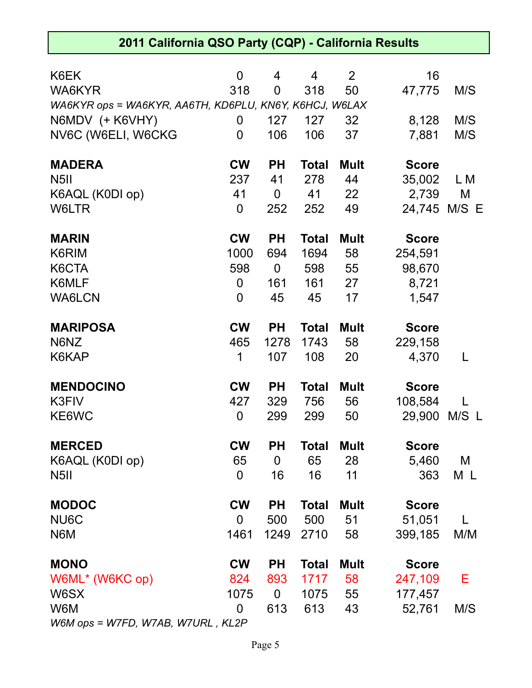| K6EK                                                   | 0              | 4         | 4            | $\overline{2}$ | 16           |              |
|--------------------------------------------------------|----------------|-----------|--------------|----------------|--------------|--------------|
| WA6KYR                                                 | 318            | 0         | 318          | 50             | 47,775       | M/S          |
| WA6KYR ops = WA6KYR, AA6TH, KD6PLU, KN6Y, K6HCJ, W6LAX |                |           |              |                |              |              |
| N6MDV (+ K6VHY)                                        | 0              | 127       | 127          | 32             | 8,128        | M/S          |
| NV6C (W6ELI, W6CKG                                     | $\overline{0}$ | 106       | 106          | 37             | 7,881        | M/S          |
| <b>MADERA</b>                                          | <b>CW</b>      | <b>PH</b> | <b>Total</b> | <b>Mult</b>    | <b>Score</b> |              |
| N <sub>5</sub> II                                      | 237            | 41        | 278          | 44             | 35,002       | L M          |
| K6AQL (K0DI op)                                        | 41             | 0         | 41           | 22             | 2,739        | M            |
| W6LTR                                                  | $\mathbf 0$    | 252       | 252          | 49             |              | 24,745 M/S E |
| <b>MARIN</b>                                           | <b>CW</b>      | <b>PH</b> | <b>Total</b> | <b>Mult</b>    | <b>Score</b> |              |
| K6RIM                                                  | 1000           | 694       | 1694         | 58             | 254,591      |              |
| K6CTA                                                  | 598            | 0         | 598          | 55             | 98,670       |              |
| K6MLF                                                  | $\mathbf 0$    | 161       | 161          | 27             | 8,721        |              |
| <b>WA6LCN</b>                                          | $\overline{0}$ | 45        | 45           | 17             | 1,547        |              |
| <b>MARIPOSA</b>                                        | <b>CW</b>      | <b>PH</b> | <b>Total</b> | <b>Mult</b>    | <b>Score</b> |              |
| N6NZ                                                   | 465            | 1278      | 1743         | 58             | 229,158      |              |
| K6KAP                                                  | 1              | 107       | 108          | 20             | 4,370        | L            |
| <b>MENDOCINO</b>                                       | <b>CW</b>      | <b>PH</b> | <b>Total</b> | <b>Mult</b>    | <b>Score</b> |              |
| K3FIV                                                  | 427            | 329       | 756          | 56             | 108,584      |              |
| KE6WC                                                  | $\mathbf 0$    | 299       | 299          | 50             | 29,900       | M/S L        |
| <b>MERCED</b>                                          | <b>CW</b>      | <b>PH</b> | <b>Total</b> | <b>Mult</b>    | <b>Score</b> |              |
| K6AQL (K0DI op)                                        | 65             | 0         | 65           | 28             | 5,460        | M            |
| N <sub>5</sub> II                                      | 0              | 16        | 16           | 11             | 363          | M L          |
| <b>MODOC</b>                                           | <b>CW</b>      | <b>PH</b> | <b>Total</b> | <b>Mult</b>    | <b>Score</b> |              |
| NU6C                                                   | 0              | 500       | 500          | 51             | 51,051       | L            |
| N6M                                                    | 1461           | 1249      | 2710         | 58             | 399,185      | M/M          |
| <b>MONO</b>                                            | <b>CW</b>      | <b>PH</b> | <b>Total</b> | <b>Mult</b>    | <b>Score</b> |              |
| W6ML* (W6KC op)                                        | 824            | 893       | 1717         | 58             | 247,109      | Ε            |
| W6SX                                                   | 1075           | 0         | 1075         | 55             | 177,457      |              |
| W6M                                                    | 0              | 613       | 613          | 43             | 52,761       | M/S          |
| W6M ops = W7FD, W7AB, W7URL, KL2P                      |                |           |              |                |              |              |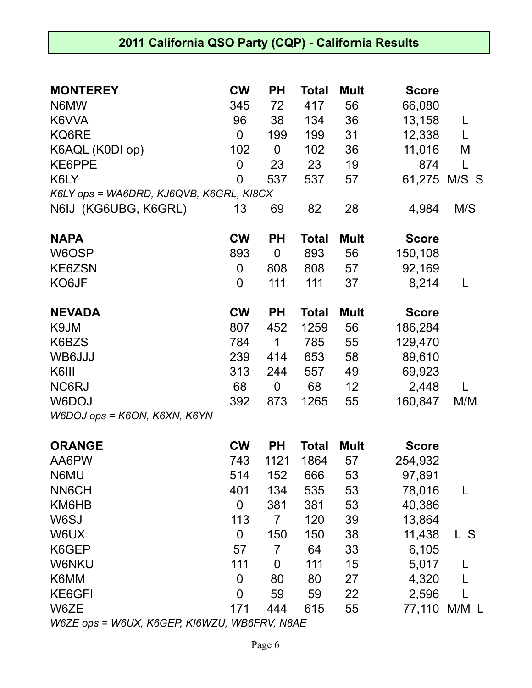| <b>MONTEREY</b>                              | <b>CW</b>        | PH             | <b>Total</b> | <b>Mult</b> | <b>Score</b> |              |
|----------------------------------------------|------------------|----------------|--------------|-------------|--------------|--------------|
| N6MW                                         | 345              | 72             | 417          | 56          | 66,080       |              |
| K6VVA                                        | 96               | 38             | 134          | 36          | 13,158       | L            |
| KQ6RE                                        | $\mathbf 0$      | 199            | 199          | 31          | 12,338       | L            |
| K6AQL (K0DI op)                              | 102              | $\mathbf 0$    | 102          | 36          | 11,016       | M            |
| KE6PPE                                       | $\overline{0}$   | 23             | 23           | 19          | 874          | L            |
| K6LY                                         | $\overline{0}$   | 537            | 537          | 57          |              | 61,275 M/S S |
| K6LY ops = WA6DRD, KJ6QVB, K6GRL, KI8CX      |                  |                |              |             |              |              |
| N6IJ (KG6UBG, K6GRL)                         | 13               | 69             | 82           | 28          | 4,984        | M/S          |
| <b>NAPA</b>                                  | <b>CW</b>        | <b>PH</b>      | <b>Total</b> | <b>Mult</b> | <b>Score</b> |              |
| W6OSP                                        | 893              | $\mathbf 0$    | 893          | 56          | 150,108      |              |
| KE6ZSN                                       | $\boldsymbol{0}$ | 808            | 808          | 57          | 92,169       |              |
| KO6JF                                        | $\overline{0}$   | 111            | 111          | 37          | 8,214        | L            |
| <b>NEVADA</b>                                | <b>CW</b>        | <b>PH</b>      | <b>Total</b> | <b>Mult</b> | <b>Score</b> |              |
| K9JM                                         | 807              | 452            | 1259         | 56          | 186,284      |              |
| K6BZS                                        | 784              | $\mathbf 1$    | 785          | 55          | 129,470      |              |
| WB6JJJ                                       | 239              | 414            | 653          | 58          | 89,610       |              |
| K6III                                        | 313              | 244            | 557          | 49          | 69,923       |              |
| NC6RJ                                        | 68               | $\mathbf 0$    | 68           | 12          | 2,448        | L            |
| W6DOJ                                        | 392              | 873            | 1265         | 55          | 160,847      | M/M          |
| W6DOJ ops = K6ON, K6XN, K6YN                 |                  |                |              |             |              |              |
| <b>ORANGE</b>                                | <b>CW</b>        | <b>PH</b>      | <b>Total</b> | <b>Mult</b> | <b>Score</b> |              |
| AA6PW                                        | 743              | 1121           | 1864         | 57          | 254,932      |              |
| N6MU                                         | 514              | 152            | 666          | 53          | 97,891       |              |
| <b>NN6CH</b>                                 | 401              | 134            | 535          | 53          | 78,016       | L            |
| KM6HB                                        | $\overline{0}$   | 381            | 381          | 53          | 40,386       |              |
| W6SJ                                         | 113              | $\overline{7}$ | 120          | 39          | 13,864       |              |
| W6UX                                         | $\mathbf 0$      | 150            | 150          | 38          | 11,438       | L S          |
| K6GEP                                        | 57               | 7              | 64           | 33          | 6,105        |              |
| <b>W6NKU</b>                                 | 111              | 0              | 111          | 15          | 5,017        |              |
| K6MM                                         | 0                | 80             | 80           | 27          | 4,320        |              |
| KE6GFI                                       | $\overline{0}$   | 59             | 59           | 22          | 2,596        |              |
| W6ZE                                         | 171              | 444            | 615          | 55          |              | 77,110 M/M L |
| W6ZE ops = W6UX, K6GEP, KI6WZU, WB6FRV, N8AE |                  |                |              |             |              |              |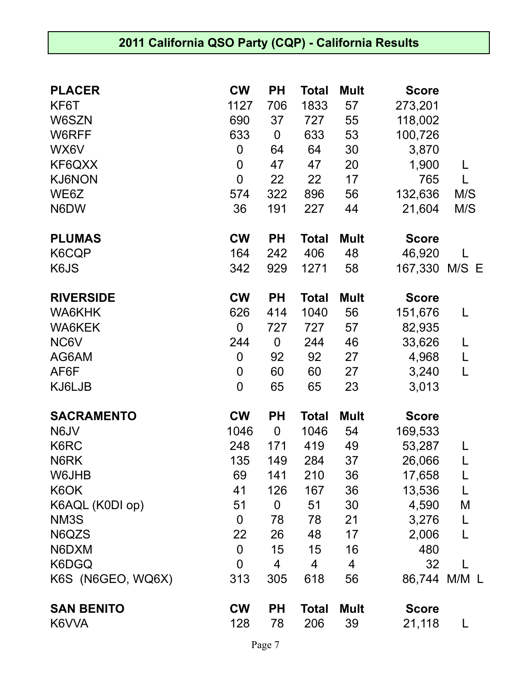| <b>PLACER</b>     | <b>CW</b>        | <b>PH</b>   | <b>Total</b> | <b>Mult</b> | <b>Score</b>  |              |
|-------------------|------------------|-------------|--------------|-------------|---------------|--------------|
| KF6T              | 1127             | 706         | 1833         | 57          | 273,201       |              |
| W6SZN             | 690              | 37          | 727          | 55          | 118,002       |              |
| W6RFF             | 633              | $\mathbf 0$ | 633          | 53          | 100,726       |              |
| WX6V              | $\mathbf 0$      | 64          | 64           | 30          | 3,870         |              |
| KF6QXX            | $\mathbf 0$      | 47          | 47           | 20          | 1,900         | L            |
| <b>KJ6NON</b>     | $\mathbf 0$      | 22          | 22           | 17          | 765           | L            |
| WE6Z              | 574              | 322         | 896          | 56          | 132,636       | M/S          |
| N6DW              | 36               | 191         | 227          | 44          | 21,604        | M/S          |
| <b>PLUMAS</b>     | <b>CW</b>        | <b>PH</b>   | <b>Total</b> | <b>Mult</b> | <b>Score</b>  |              |
| K6CQP             | 164              | 242         | 406          | 48          | 46,920        | L            |
| K6JS              | 342              | 929         | 1271         | 58          | 167,330 M/S E |              |
| <b>RIVERSIDE</b>  | <b>CW</b>        | <b>PH</b>   | <b>Total</b> | <b>Mult</b> | <b>Score</b>  |              |
| WA6KHK            | 626              | 414         | 1040         | 56          | 151,676       | L            |
| <b>WA6KEK</b>     | $\mathbf 0$      | 727         | 727          | 57          | 82,935        |              |
| NC6V              | 244              | $\mathbf 0$ | 244          | 46          | 33,626        | L            |
| AG6AM             | $\mathbf 0$      | 92          | 92           | 27          | 4,968         | L            |
| AF6F              | $\boldsymbol{0}$ | 60          | 60           | 27          | 3,240         | L            |
| KJ6LJB            | $\overline{0}$   | 65          | 65           | 23          | 3,013         |              |
| <b>SACRAMENTO</b> | <b>CW</b>        | <b>PH</b>   | <b>Total</b> | <b>Mult</b> | <b>Score</b>  |              |
| N6JV              | 1046             | $\mathbf 0$ | 1046         | 54          | 169,533       |              |
| K6RC              | 248              | 171         | 419          | 49          | 53,287        | L            |
| N6RK              | 135              | 149         | 284          | 37          | 26,066        | L            |
| W6JHB             | 69               | 141         | 210          | 36          | 17,658        | L            |
| K6OK              | 41               | 126         | 167          | 36          | 13,536        | L            |
| K6AQL (K0DI op)   | 51               | 0           | 51           | 30          | 4,590         | M            |
| NM3S              | $\mathbf 0$      | 78          | 78           | 21          | 3,276         | $\mathsf{L}$ |
| N6QZS             | 22               | 26          | 48           | 17          | 2,006         | L            |
| N6DXM             | $\mathbf 0$      | 15          | 15           | 16          | 480           |              |
| K6DGQ             | 0                | 4           | 4            | 4           | 32            | L            |
| K6S (N6GEO, WQ6X) | 313              | 305         | 618          | 56          | 86,744        | M/M L        |
| <b>SAN BENITO</b> | <b>CW</b>        | PH          | <b>Total</b> | <b>Mult</b> | <b>Score</b>  |              |
| K6VVA             | 128              | 78          | 206          | 39          | 21,118        | L            |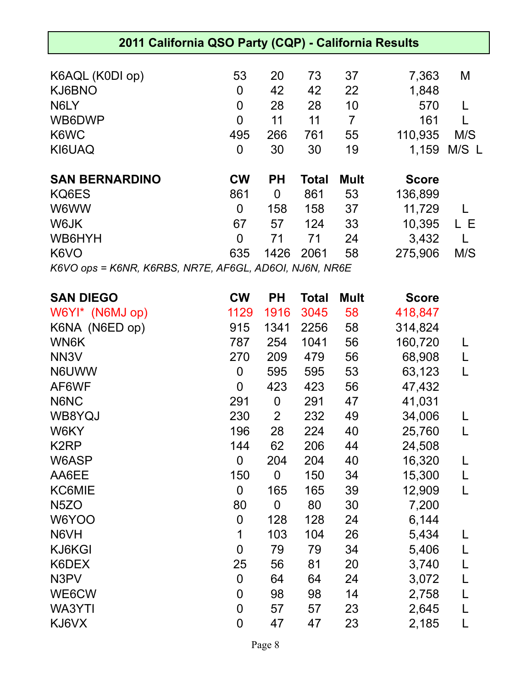| 2011 California QSO Party (CQP) - California Results   |                  |                  |              |                |              |       |  |  |
|--------------------------------------------------------|------------------|------------------|--------------|----------------|--------------|-------|--|--|
|                                                        |                  |                  |              |                |              |       |  |  |
| K6AQL (K0DI op)                                        | 53               | 20               | 73           | 37             | 7,363        | M     |  |  |
| KJ6BNO                                                 | $\boldsymbol{0}$ | 42               | 42           | 22             | 1,848        |       |  |  |
| N6LY                                                   | $\boldsymbol{0}$ | 28               | 28           | 10             | 570          | L     |  |  |
| WB6DWP                                                 | $\overline{0}$   | 11               | 11           | $\overline{7}$ | 161          | L     |  |  |
| K6WC                                                   | 495              | 266              | 761          | 55             | 110,935      | M/S   |  |  |
| KI6UAQ                                                 | $\mathbf 0$      | 30               | 30           | 19             | 1,159        | M/S L |  |  |
| <b>SAN BERNARDINO</b>                                  | <b>CW</b>        | <b>PH</b>        | <b>Total</b> | <b>Mult</b>    | <b>Score</b> |       |  |  |
| KQ6ES                                                  | 861              | $\boldsymbol{0}$ | 861          | 53             | 136,899      |       |  |  |
| W6WW                                                   | $\mathbf 0$      | 158              | 158          | 37             | 11,729       | L     |  |  |
| W6JK                                                   | 67               | 57               | 124          | 33             | 10,395       | L E   |  |  |
| WB6HYH                                                 | $\overline{0}$   | 71               | 71           | 24             | 3,432        | L     |  |  |
| K6VO                                                   | 635              | 1426             | 2061         | 58             | 275,906      | M/S   |  |  |
| K6VO ops = K6NR, K6RBS, NR7E, AF6GL, AD6OI, NJ6N, NR6E |                  |                  |              |                |              |       |  |  |
| <b>SAN DIEGO</b>                                       | <b>CW</b>        | <b>PH</b>        | <b>Total</b> | <b>Mult</b>    | <b>Score</b> |       |  |  |
| W6YI* (N6MJ op)                                        | 1129             | 1916             | 3045         | 58             | 418,847      |       |  |  |
| K6NA (N6ED op)                                         | 915              | 1341             | 2256         | 58             | 314,824      |       |  |  |
| WN6K                                                   | 787              | 254              | 1041         | 56             | 160,720      | L     |  |  |
| NN <sub>3</sub> V                                      | 270              | 209              | 479          | 56             | 68,908       | L     |  |  |
| N6UWW                                                  | $\mathbf 0$      | 595              | 595          | 53             | 63,123       | L     |  |  |
| AF6WF                                                  | $\mathbf 0$      | 423              | 423          | 56             | 47,432       |       |  |  |
| N6NC                                                   | 291              | $\mathbf 0$      | 291          | 47             | 41,031       |       |  |  |
| WB8YQJ                                                 | 230              | $\overline{2}$   | 232          | 49             | 34,006       | L     |  |  |
| W6KY                                                   | 196              | 28               | 224          | 40             | 25,760       | L     |  |  |
| K <sub>2</sub> RP                                      | 144              | 62               | 206          | 44             | 24,508       |       |  |  |
| W6ASP                                                  | $\mathbf 0$      | 204              | 204          | 40             | 16,320       | L     |  |  |
| AA6EE                                                  | 150              | $\overline{0}$   | 150          | 34             | 15,300       | L     |  |  |
| <b>KC6MIE</b>                                          | $\mathbf 0$      | 165              | 165          | 39             | 12,909       |       |  |  |
| N <sub>5</sub> ZO                                      | 80               | $\overline{0}$   | 80           | 30             | 7,200        |       |  |  |
| W6YOO                                                  | $\mathbf 0$      | 128              | 128          | 24             | 6,144        |       |  |  |
| N6VH                                                   | 1                | 103              | 104          | 26             | 5,434        | L     |  |  |
| KJ6KGI                                                 | $\mathbf 0$      | 79               | 79           | 34             | 5,406        | L     |  |  |
| K6DEX                                                  | 25               | 56               | 81           | 20             | 3,740        | L     |  |  |
| N3PV                                                   | $\mathbf 0$      | 64               | 64           | 24             | 3,072        | L     |  |  |
| WE6CW                                                  | $\mathbf 0$      | 98               | 98           | 14             | 2,758        | L     |  |  |
| <b>WA3YTI</b>                                          | $\mathbf 0$      | 57               | 57           | 23             | 2,645        | L     |  |  |
| KJ6VX                                                  | $\mathbf 0$      | 47               | 47           | 23             | 2,185        | L     |  |  |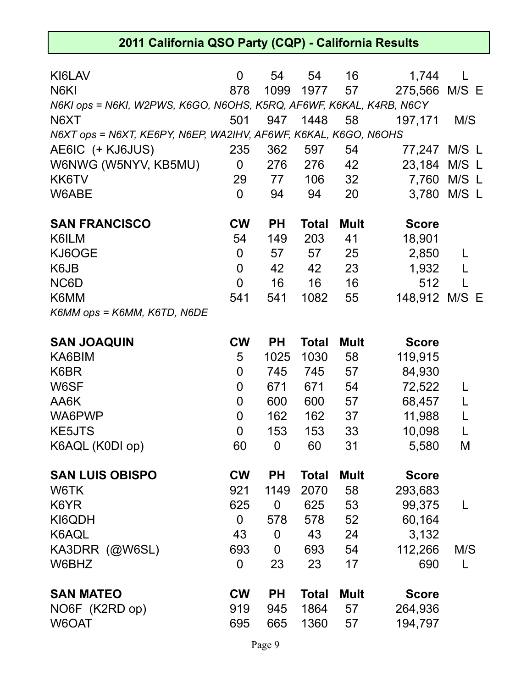| KI6LAV                                                                                   | $\overline{0}$ | 54          | 54           | 16              | 1,744         |       |
|------------------------------------------------------------------------------------------|----------------|-------------|--------------|-----------------|---------------|-------|
| N <sub>6</sub> KI<br>N6KI ops = N6KI, W2PWS, K6GO, N6OHS, K5RQ, AF6WF, K6KAL, K4RB, N6CY | 878            | 1099        | 1977         | 57              | 275,566 M/S E |       |
| N6XT                                                                                     | 501            | 947         | 1448         | 58              | 197,171       | M/S   |
| N6XT ops = N6XT, KE6PY, N6EP, WA2IHV, AF6WF, K6KAL, K6GO, N6OHS                          |                |             |              |                 |               |       |
| AE6IC (+ KJ6JUS)                                                                         | 235            | 362         | 597          | 54              | 77,247        | M/S L |
| W6NWG (W5NYV, KB5MU)                                                                     | $\overline{0}$ | 276         | 276          | 42              | 23,184        | M/S L |
| KK6TV                                                                                    | 29             | 77          | 106          | 32 <sub>2</sub> | 7,760         | M/S L |
| W6ABE                                                                                    | $\overline{0}$ | 94          | 94           | 20              | 3,780         | M/S L |
| <b>SAN FRANCISCO</b>                                                                     | <b>CW</b>      | <b>PH</b>   | <b>Total</b> | <b>Mult</b>     | <b>Score</b>  |       |
| K6ILM                                                                                    | 54             | 149         | 203          | 41              | 18,901        |       |
| KJ6OGE                                                                                   | $\mathbf 0$    | 57          | 57           | 25              | 2,850         |       |
| K6JB                                                                                     | $\overline{0}$ | 42          | 42           | 23              | 1,932         |       |
| NC6D                                                                                     | $\overline{0}$ | 16          | 16           | 16              | 512           |       |
| K6MM                                                                                     | 541            | 541         | 1082         | 55              | 148,912 M/S E |       |
| K6MM ops = K6MM, K6TD, N6DE                                                              |                |             |              |                 |               |       |
| <b>SAN JOAQUIN</b>                                                                       | <b>CW</b>      | <b>PH</b>   | <b>Total</b> | <b>Mult</b>     | <b>Score</b>  |       |
| KA6BIM                                                                                   | 5              | 1025        | 1030         | 58              | 119,915       |       |
| K6BR                                                                                     | $\mathbf 0$    | 745         | 745          | 57              | 84,930        |       |
| W6SF                                                                                     | $\mathbf 0$    | 671         | 671          | 54              | 72,522        | L     |
| AA6K                                                                                     | 0              | 600         | 600          | 57              | 68,457        | L     |
| WA6PWP                                                                                   | $\mathbf 0$    | 162         | 162          | 37              | 11,988        | L     |
| <b>KE5JTS</b>                                                                            | $\overline{0}$ | 153         | 153          | 33              | 10,098        | L     |
| K6AQL (K0DI op)                                                                          | 60             | $\mathbf 0$ | 60           | 31              | 5,580         | M     |
| <b>SAN LUIS OBISPO</b>                                                                   | <b>CW</b>      | <b>PH</b>   | <b>Total</b> | <b>Mult</b>     | <b>Score</b>  |       |
| W6TK                                                                                     | 921            | 1149        | 2070         | 58              | 293,683       |       |
| K6YR                                                                                     | 625            | 0           | 625          | 53              | 99,375        | L     |
| KI6QDH                                                                                   | 0              | 578         | 578          | 52              | 60,164        |       |
| K6AQL                                                                                    | 43             | 0           | 43           | 24              | 3,132         |       |
| KA3DRR (@W6SL)                                                                           | 693            | 0           | 693          | 54              | 112,266       | M/S   |
| W6BHZ                                                                                    | 0              | 23          | 23           | 17              | 690           | L     |
| <b>SAN MATEO</b>                                                                         | <b>CW</b>      | <b>PH</b>   | <b>Total</b> | <b>Mult</b>     | <b>Score</b>  |       |
| NO6F (K2RD op)                                                                           | 919            | 945         | 1864         | 57              | 264,936       |       |
| W6OAT                                                                                    | 695            | 665         | 1360         | 57              | 194,797       |       |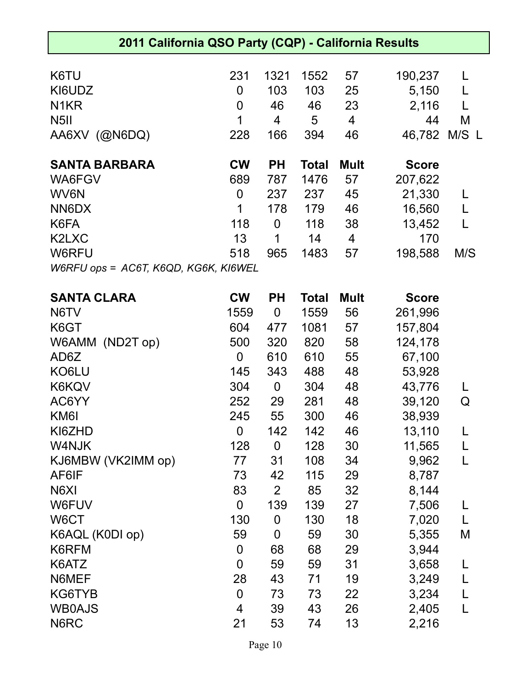| 2011 California QSO Party (CQP) - California Results |                |                |              |                |              |       |  |  |  |
|------------------------------------------------------|----------------|----------------|--------------|----------------|--------------|-------|--|--|--|
|                                                      |                |                |              |                |              |       |  |  |  |
| K6TU                                                 | 231            | 1321           | 1552         | 57             | 190,237      | L     |  |  |  |
| KI6UDZ                                               | $\mathbf 0$    | 103            | 103          | 25             | 5,150        | L     |  |  |  |
| N <sub>1</sub> KR                                    | 0              | 46             | 46           | 23             | 2,116        | L     |  |  |  |
| N <sub>5</sub> II                                    | 1              | 4              | 5            | $\overline{4}$ | 44           | M     |  |  |  |
| AA6XV (@N6DQ)                                        | 228            | 166            | 394          | 46             | 46,782       | M/S L |  |  |  |
| <b>SANTA BARBARA</b>                                 | <b>CW</b>      | <b>PH</b>      | <b>Total</b> | <b>Mult</b>    | <b>Score</b> |       |  |  |  |
| WA6FGV                                               | 689            | 787            | 1476         | 57             | 207,622      |       |  |  |  |
| WV6N                                                 | $\mathbf 0$    | 237            | 237          | 45             | 21,330       | L     |  |  |  |
| NN6DX                                                | $\mathbf 1$    | 178            | 179          | 46             | 16,560       | L     |  |  |  |
| K6FA                                                 | 118            | $\mathbf 0$    | 118          | 38             | 13,452       | L     |  |  |  |
| K2LXC                                                | 13             | 1              | 14           | $\overline{4}$ | 170          |       |  |  |  |
| W6RFU                                                | 518            | 965            | 1483         | 57             | 198,588      | M/S   |  |  |  |
| W6RFU ops = AC6T, K6QD, KG6K, KI6WEL                 |                |                |              |                |              |       |  |  |  |
| <b>SANTA CLARA</b>                                   | <b>CW</b>      | <b>PH</b>      | <b>Total</b> | <b>Mult</b>    | <b>Score</b> |       |  |  |  |
| N6TV                                                 | 1559           | $\mathbf 0$    | 1559         | 56             | 261,996      |       |  |  |  |
| K6GT                                                 | 604            | 477            | 1081         | 57             | 157,804      |       |  |  |  |
| W6AMM (ND2T op)                                      | 500            | 320            | 820          | 58             | 124,178      |       |  |  |  |
| AD6Z                                                 | $\mathbf 0$    | 610            | 610          | 55             | 67,100       |       |  |  |  |
| KO6LU                                                | 145            | 343            | 488          | 48             | 53,928       |       |  |  |  |
| K6KQV                                                | 304            | $\mathbf 0$    | 304          | 48             | 43,776       |       |  |  |  |
| AC6YY                                                | 252            | 29             | 281          | 48             | 39,120       | Q     |  |  |  |
| KM6I                                                 | 245            | 55             | 300          | 46             | 38,939       |       |  |  |  |
| KI6ZHD                                               | 0              | 142            | 142          | 46             | 13,110       |       |  |  |  |
| W4NJK                                                | 128            | $\mathbf 0$    | 128          | 30             | 11,565       | L     |  |  |  |
| KJ6MBW (VK2IMM op)                                   | 77             | 31             | 108          | 34             | 9,962        | L     |  |  |  |
| AF6IF                                                | 73             | 42             | 115          | 29             | 8,787        |       |  |  |  |
| N6XI                                                 | 83             | $\overline{2}$ | 85           | 32             | 8,144        |       |  |  |  |
| W6FUV                                                | $\mathbf 0$    | 139            | 139          | 27             | 7,506        |       |  |  |  |
| W6CT                                                 | 130            | 0              | 130          | 18             | 7,020        | L     |  |  |  |
| K6AQL (K0DI op)                                      | 59             | 0              | 59           | 30             | 5,355        | M     |  |  |  |
| K6RFM                                                | $\mathbf 0$    | 68             | 68           | 29             | 3,944        |       |  |  |  |
| K6ATZ                                                | $\overline{0}$ | 59             | 59           | 31             | 3,658        | L     |  |  |  |
| N6MEF                                                | 28             | 43             | 71           | 19             | 3,249        |       |  |  |  |
| KG6TYB                                               | $\mathbf 0$    | 73             | 73           | 22             | 3,234        |       |  |  |  |
| <b>WB0AJS</b>                                        | 4              | 39             | 43           | 26             | 2,405        | L     |  |  |  |
| N6RC                                                 | 21             | 53             | 74           | 13             | 2,216        |       |  |  |  |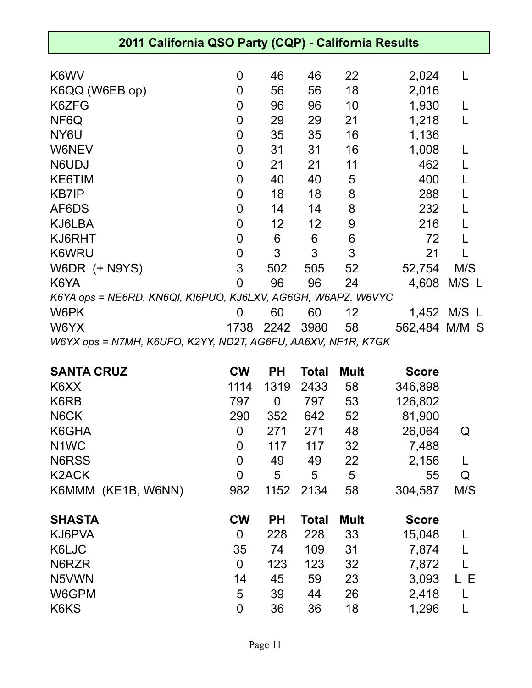| 2011 California QSO Party (CQP) - California Results         |                |      |      |    |               |             |  |  |
|--------------------------------------------------------------|----------------|------|------|----|---------------|-------------|--|--|
|                                                              |                |      |      |    |               |             |  |  |
| K6WV                                                         | 0              | 46   | 46   | 22 | 2,024         |             |  |  |
| K6QQ (W6EB op)                                               | 0              | 56   | 56   | 18 | 2,016         |             |  |  |
| K6ZFG                                                        | 0              | 96   | 96   | 10 | 1,930         |             |  |  |
| NF6Q                                                         | 0              | 29   | 29   | 21 | 1,218         |             |  |  |
| NY6U                                                         | $\mathbf 0$    | 35   | 35   | 16 | 1,136         |             |  |  |
| W6NEV                                                        | $\mathbf 0$    | 31   | 31   | 16 | 1,008         |             |  |  |
| N6UDJ                                                        | $\mathbf 0$    | 21   | 21   | 11 | 462           |             |  |  |
| KE6TIM                                                       | 0              | 40   | 40   | 5  | 400           |             |  |  |
| <b>KB7IP</b>                                                 | $\mathbf 0$    | 18   | 18   | 8  | 288           |             |  |  |
| AF6DS                                                        | 0              | 14   | 14   | 8  | 232           |             |  |  |
| KJ6LBA                                                       | $\mathbf 0$    | 12   | 12   | 9  | 216           |             |  |  |
| KJ6RHT                                                       | 0              | 6    | 6    | 6  | 72            |             |  |  |
| K6WRU                                                        | 0              | 3    | 3    | 3  | 21            |             |  |  |
| <b>W6DR (+ N9YS)</b>                                         | 3              | 502  | 505  | 52 | 52,754        | M/S         |  |  |
| K6YA                                                         | $\overline{0}$ | 96   | 96   | 24 | 4,608         | M/S L       |  |  |
| K6YA ops = NE6RD, KN6QI, KI6PUO, KJ6LXV, AG6GH, W6APZ, W6VYC |                |      |      |    |               |             |  |  |
| W6PK                                                         | 0              | 60   | 60   | 12 |               | 1,452 M/S L |  |  |
| W6YX                                                         | 1738           | 2242 | 3980 | 58 | 562,484 M/M S |             |  |  |
| W6YX ops = N7MH, K6UFO, K2YY, ND2T, AG6FU, AA6XV, NF1R, K7GK |                |      |      |    |               |             |  |  |

| <b>CW</b>      | <b>PH</b> | <b>Total</b> | <b>Mult</b> | <b>Score</b> |     |
|----------------|-----------|--------------|-------------|--------------|-----|
| 1114           | 1319      | 2433         | 58          | 346,898      |     |
| 797            | 0         | 797          | 53          | 126,802      |     |
| 290            | 352       | 642          | 52          | 81,900       |     |
| 0              | 271       | 271          | 48          | 26,064       | Q   |
| $\overline{0}$ | 117       | 117          | 32          | 7,488        |     |
| $\mathbf 0$    | 49        | 49           | 22          | 2,156        |     |
| $\overline{0}$ | 5         | 5            | 5           | 55           | Q   |
| 982            | 1152      | 2134         | 58          | 304,587      | M/S |
| <b>CW</b>      | <b>PH</b> | <b>Total</b> | <b>Mult</b> | <b>Score</b> |     |
| 0              | 228       | 228          | 33          | 15,048       |     |
| 35             | 74        | 109          | 31          | 7,874        | L   |
| $\overline{0}$ | 123       | 123          | 32          | 7,872        |     |
| 14             | 45        | 59           | 23          | 3,093        | L E |
| 5              | 39        | 44           | 26          | 2,418        | L   |
| 0              | 36        | 36           | 18          | 1,296        |     |
|                |           |              |             |              |     |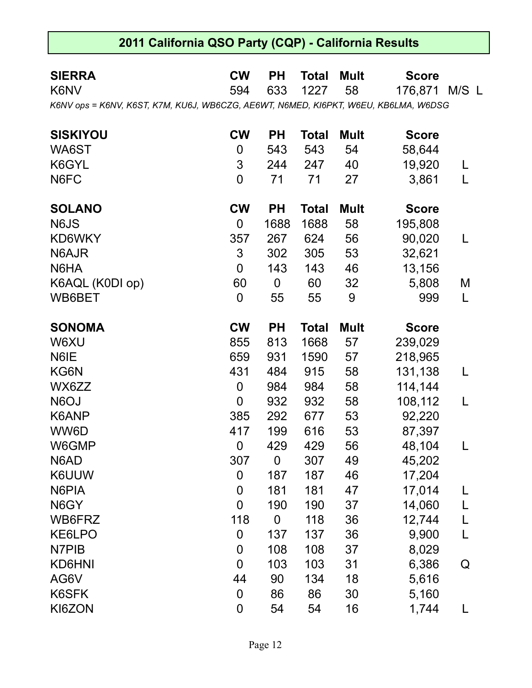| <b>SIERRA</b>                                                                       | <b>CW</b>        | PН          | <b>Total</b> | <b>Mult</b> | <b>Score</b> |       |
|-------------------------------------------------------------------------------------|------------------|-------------|--------------|-------------|--------------|-------|
| K6NV                                                                                | 594              | 633         | 1227         | 58          | 176,871      | M/S L |
| K6NV ops = K6NV, K6ST, K7M, KU6J, WB6CZG, AE6WT, N6MED, KI6PKT, W6EU, KB6LMA, W6DSG |                  |             |              |             |              |       |
| <b>SISKIYOU</b>                                                                     | <b>CW</b>        | <b>PH</b>   | <b>Total</b> | <b>Mult</b> | <b>Score</b> |       |
| WA6ST                                                                               | $\boldsymbol{0}$ | 543         | 543          | 54          | 58,644       |       |
| K6GYL                                                                               | 3                | 244         | 247          | 40          | 19,920       |       |
| N6FC                                                                                | $\mathbf 0$      | 71          | 71           | 27          | 3,861        | L     |
|                                                                                     |                  |             |              |             |              |       |
| <b>SOLANO</b>                                                                       | <b>CW</b>        | <b>PH</b>   | <b>Total</b> | <b>Mult</b> | <b>Score</b> |       |
| N6JS                                                                                | $\mathbf 0$      | 1688        | 1688         | 58          | 195,808      |       |
| KD6WKY                                                                              | 357              | 267         | 624          | 56          | 90,020       |       |
| N6AJR                                                                               | 3                | 302         | 305          | 53          | 32,621       |       |
| N6HA                                                                                | $\mathbf 0$      | 143         | 143          | 46          | 13,156       |       |
| K6AQL (K0DI op)                                                                     | 60               | 0           | 60           | 32          | 5,808        | M     |
| WB6BET                                                                              | $\mathbf 0$      | 55          | 55           | 9           | 999          | L     |
| <b>SONOMA</b>                                                                       | <b>CW</b>        | <b>PH</b>   | <b>Total</b> | <b>Mult</b> | <b>Score</b> |       |
| W6XU                                                                                | 855              | 813         | 1668         | 57          | 239,029      |       |
| N6IE                                                                                | 659              | 931         | 1590         | 57          | 218,965      |       |
| KG6N                                                                                | 431              | 484         | 915          | 58          | 131,138      |       |
| WX6ZZ                                                                               | $\mathbf 0$      | 984         | 984          | 58          | 114,144      |       |
| N6OJ                                                                                | $\mathbf 0$      | 932         | 932          | 58          | 108,112      | L     |
| K6ANP                                                                               | 385              | 292         | 677          | 53          | 92,220       |       |
| WW6D                                                                                | 417              | 199         | 616          | 53          | 87,397       |       |
| W6GMP                                                                               | $\mathbf 0$      | 429         | 429          | 56          | 48,104       |       |
| N6AD                                                                                | 307              | 0           | 307          | 49          | 45,202       |       |
| K6UUW                                                                               | $\mathbf 0$      | 187         | 187          | 46          | 17,204       |       |
| N6PIA                                                                               | $\overline{0}$   | 181         | 181          | 47          | 17,014       |       |
| N6GY                                                                                | $\overline{0}$   | 190         | 190          | 37          | 14,060       |       |
| WB6FRZ                                                                              | 118              | $\mathbf 0$ | 118          | 36          | 12,744       |       |
| KE6LPO                                                                              | $\mathbf 0$      | 137         | 137          | 36          | 9,900        | L     |
| N7PIB                                                                               | $\mathbf 0$      | 108         | 108          | 37          | 8,029        |       |
| KD6HNI                                                                              | $\overline{0}$   | 103         | 103          | 31          | 6,386        | Q     |
| AG6V                                                                                | 44               | 90          | 134          | 18          | 5,616        |       |
| K6SFK                                                                               | $\overline{0}$   | 86          | 86           | 30          | 5,160        |       |
| KI6ZON                                                                              | $\mathbf 0$      | 54          | 54           | 16          | 1,744        |       |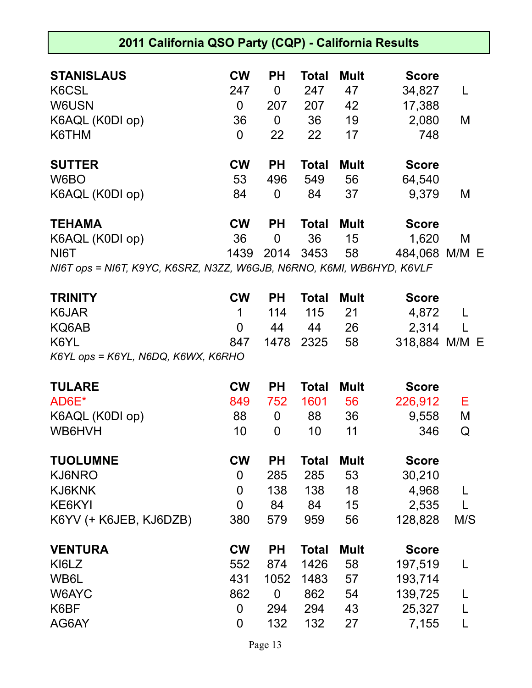| 2011 California QSO Party (CQP) - California Results                  |                |                |              |             |               |     |  |  |
|-----------------------------------------------------------------------|----------------|----------------|--------------|-------------|---------------|-----|--|--|
|                                                                       |                |                |              |             |               |     |  |  |
| <b>STANISLAUS</b>                                                     | <b>CW</b>      | <b>PH</b>      | <b>Total</b> | Mult        | <b>Score</b>  |     |  |  |
| K6CSL                                                                 | 247            | 0              | 247          | 47          | 34,827        | L   |  |  |
| W6USN                                                                 | $\mathbf 0$    | 207            | 207          | 42          | 17,388        |     |  |  |
| K6AQL (K0DI op)                                                       | 36             | $\mathbf 0$    | 36           | 19          | 2,080         | M   |  |  |
| K6THM                                                                 | $\mathbf 0$    | 22             | 22           | 17          | 748           |     |  |  |
| <b>SUTTER</b>                                                         | <b>CW</b>      | <b>PH</b>      | <b>Total</b> | <b>Mult</b> | <b>Score</b>  |     |  |  |
| W6BO                                                                  | 53             | 496            | 549          | 56          | 64,540        |     |  |  |
| K6AQL (K0DI op)                                                       | 84             | $\mathbf 0$    | 84           | 37          | 9,379         | M   |  |  |
| <b>TEHAMA</b>                                                         | <b>CW</b>      | <b>PH</b>      | <b>Total</b> | <b>Mult</b> | <b>Score</b>  |     |  |  |
| K6AQL (K0DI op)                                                       | 36             | $\overline{0}$ | 36           | 15          | 1,620         | M   |  |  |
| NI6T                                                                  | 1439           |                | 2014 3453    | 58          | 484,068 M/M E |     |  |  |
| NI6T ops = NI6T, K9YC, K6SRZ, N3ZZ, W6GJB, N6RNO, K6MI, WB6HYD, K6VLF |                |                |              |             |               |     |  |  |
|                                                                       |                |                |              |             |               |     |  |  |
| <b>TRINITY</b>                                                        | <b>CW</b>      | <b>PH</b>      | <b>Total</b> | <b>Mult</b> | <b>Score</b>  |     |  |  |
| K6JAR                                                                 | 1              | 114            | 115          | 21          | 4,872         |     |  |  |
| KQ6AB                                                                 | $\overline{0}$ | 44             | 44           | 26          | 2,314         |     |  |  |
| K6YL                                                                  | 847            | 1478           | 2325         | 58          | 318,884 M/M E |     |  |  |
| K6YL ops = K6YL, N6DQ, K6WX, K6RHO                                    |                |                |              |             |               |     |  |  |
| <b>TULARE</b>                                                         | <b>CW</b>      | <b>PH</b>      | <b>Total</b> | <b>Mult</b> | <b>Score</b>  |     |  |  |
| AD6E*                                                                 | 849            | 752            | 1601         | 56          | 226,912       | Е   |  |  |
| K6AQL (K0DI op)                                                       | 88             | $\mathbf 0$    | 88           | 36          | 9,558         | M   |  |  |
| WB6HVH                                                                | 10             | $\overline{0}$ | 10           | 11          | 346           | Q   |  |  |
| <b>TUOLUMNE</b>                                                       | <b>CW</b>      | PH             | <b>Total</b> | <b>Mult</b> | <b>Score</b>  |     |  |  |
| KJ6NRO                                                                | $\mathbf 0$    | 285            | 285          | 53          | 30,210        |     |  |  |
| KJ6KNK                                                                | $\mathbf 0$    | 138            | 138          | 18          | 4,968         | L   |  |  |
| KE6KYI                                                                | $\overline{0}$ | 84             | 84           | 15          | 2,535         |     |  |  |
| K6YV (+ K6JEB, KJ6DZB)                                                | 380            | 579            | 959          | 56          | 128,828       | M/S |  |  |
|                                                                       |                |                |              |             |               |     |  |  |
| <b>VENTURA</b>                                                        | <b>CW</b>      | PH             | <b>Total</b> | <b>Mult</b> | <b>Score</b>  |     |  |  |
| KI6LZ                                                                 | 552            | 874            | 1426         | 58          | 197,519       | L   |  |  |
| WB6L                                                                  | 431            | 1052           | 1483         | 57          | 193,714       |     |  |  |
| W6AYC                                                                 | 862            | $\mathbf 0$    | 862          | 54          | 139,725       |     |  |  |
| K6BF                                                                  | $\mathbf 0$    | 294            | 294          | 43          | 25,327        |     |  |  |
| AG6AY                                                                 | $\mathbf 0$    | 132            | 132          | 27          | 7,155         | L   |  |  |